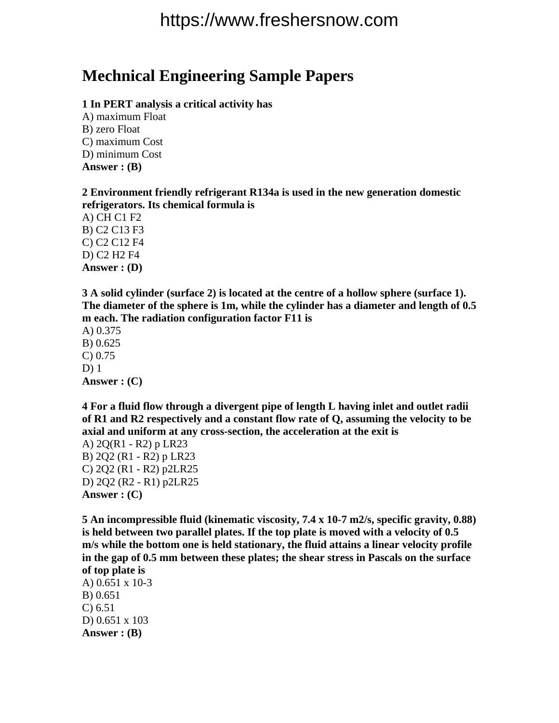# https://www.freshersnow.com

### **Mechnical Engineering Sample Papers**

#### **1 In PERT analysis a critical activity has**

A) maximum Float B) zero Float C) maximum Cost D) minimum Cost **Answer : (B)**

**2 Environment friendly refrigerant R134a is used in the new generation domestic refrigerators. Its chemical formula is**

A) CH C1 F2 B) C2 C13 F3 C) C2 C12 F4 D) C2 H2 F4 **Answer : (D)**

**3 A solid cylinder (surface 2) is located at the centre of a hollow sphere (surface 1). The diameter of the sphere is 1m, while the cylinder has a diameter and length of 0.5 m each. The radiation configuration factor F11 is**

A) 0.375 B) 0.625 C) 0.75 D) 1 **Answer : (C)**

**4 For a fluid flow through a divergent pipe of length L having inlet and outlet radii of R1 and R2 respectively and a constant flow rate of Q, assuming the velocity to be axial and uniform at any cross-section, the acceleration at the exit is**

A) 2Q(R1 - R2) p LR23 B) 2Q2 (R1 - R2) p LR23 C) 2Q2 (R1 - R2) p2LR25 D) 2Q2 (R2 - R1) p2LR25 **Answer : (C)** 

**5 An incompressible fluid (kinematic viscosity, 7.4 x 10-7 m2/s, specific gravity, 0.88) is held between two parallel plates. If the top plate is moved with a velocity of 0.5 m/s while the bottom one is held stationary, the fluid attains a linear velocity profile in the gap of 0.5 mm between these plates; the shear stress in Pascals on the surface of top plate is**

A) 0.651 x 10-3 B) 0.651 C) 6.51 D) 0.651 x 103 **Answer : (B)**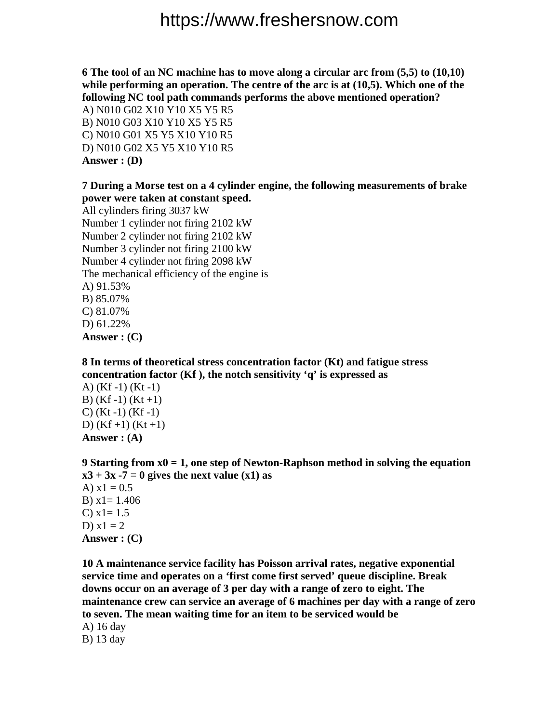# https://www.freshersnow.com

**6 The tool of an NC machine has to move along a circular arc from (5,5) to (10,10) while performing an operation. The centre of the arc is at (10,5). Which one of the following NC tool path commands performs the above mentioned operation?**

A) N010 G02 X10 Y10 X5 Y5 R5 B) N010 G03 X10 Y10 X5 Y5 R5 C) N010 G01 X5 Y5 X10 Y10 R5 D) N010 G02 X5 Y5 X10 Y10 R5 **Answer : (D)**

### **7 During a Morse test on a 4 cylinder engine, the following measurements of brake power were taken at constant speed.**

All cylinders firing 3037 kW Number 1 cylinder not firing 2102 kW Number 2 cylinder not firing 2102 kW Number 3 cylinder not firing 2100 kW Number 4 cylinder not firing 2098 kW The mechanical efficiency of the engine is A) 91.53% B) 85.07% C) 81.07% D) 61.22% **Answer : (C)**

**8 In terms of theoretical stress concentration factor (Kt) and fatigue stress concentration factor (Kf ), the notch sensitivity 'q' is expressed as**

A) (Kf -1) (Kt -1) B)  $(Kf-1)$   $(Kt+1)$  $C)$  (Kt -1) (Kf -1) D)  $(Kf+1)$   $(Kt+1)$ **Answer : (A)**

**9 Starting from x0 = 1, one step of Newton-Raphson method in solving the equation**   $x3 + 3x -7 = 0$  gives the next value  $(x1)$  as A)  $x1 = 0.5$ B)  $x1 = 1.406$ C)  $x1 = 1.5$ D)  $x1 = 2$ **Answer : (C)**

**10 A maintenance service facility has Poisson arrival rates, negative exponential service time and operates on a 'first come first served' queue discipline. Break downs occur on an average of 3 per day with a range of zero to eight. The maintenance crew can service an average of 6 machines per day with a range of zero to seven. The mean waiting time for an item to be serviced would be**

A) 16 day B) 13 day